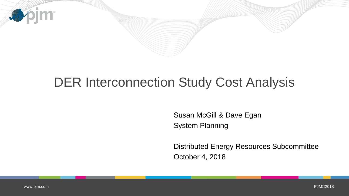

# DER Interconnection Study Cost Analysis

Susan McGill & Dave Egan System Planning

Distributed Energy Resources Subcommittee October 4, 2018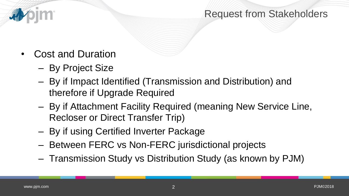## Request from Stakeholders

- Cost and Duration
	- By Project Size
	- By if Impact Identified (Transmission and Distribution) and therefore if Upgrade Required
	- By if Attachment Facility Required (meaning New Service Line, Recloser or Direct Transfer Trip)
	- By if using Certified Inverter Package
	- Between FERC vs Non-FERC jurisdictional projects
	- Transmission Study vs Distribution Study (as known by PJM)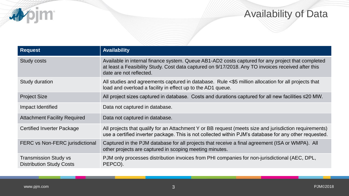

## Availability of Data

| <b>Request</b>                                                  | <b>Availability</b>                                                                                                                                                                                                                |
|-----------------------------------------------------------------|------------------------------------------------------------------------------------------------------------------------------------------------------------------------------------------------------------------------------------|
| <b>Study costs</b>                                              | Available in internal finance system. Queue AB1-AD2 costs captured for any project that completed<br>at least a Feasibility Study. Cost data captured on 9/17/2018. Any TO invoices received after this<br>date are not reflected. |
| Study duration                                                  | All studies and agreements captured in database. Rule <\$5 million allocation for all projects that<br>load and overload a facility in effect up to the AD1 queue.                                                                 |
| <b>Project Size</b>                                             | All project sizes captured in database. Costs and durations captured for all new facilities ≤20 MW.                                                                                                                                |
| Impact Identified                                               | Data not captured in database.                                                                                                                                                                                                     |
| <b>Attachment Facility Required</b>                             | Data not captured in database.                                                                                                                                                                                                     |
| <b>Certified Inverter Package</b>                               | All projects that qualify for an Attachment Y or BB request (meets size and jurisdiction requirements)<br>use a certified inverter package. This is not collected within PJM's database for any other requested.                   |
| FERC vs Non-FERC jurisdictional                                 | Captured in the PJM database for all projects that receive a final agreement (ISA or WMPA). All<br>other projects are captured in scoping meeting minutes.                                                                         |
| <b>Transmission Study vs</b><br><b>Distribution Study Costs</b> | PJM only processes distribution invoices from PHI companies for non-jurisdictional (AEC, DPL,<br>PEPCO).                                                                                                                           |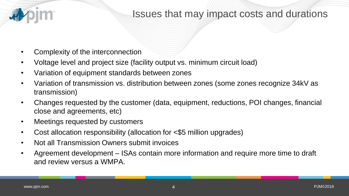

- Complexity of the interconnection
- Voltage level and project size (facility output vs. minimum circuit load)
- Variation of equipment standards between zones
- Variation of transmission vs. distribution between zones (some zones recognize 34kV as transmission)
- Changes requested by the customer (data, equipment, reductions, POI changes, financial close and agreements, etc)
- Meetings requested by customers
- Cost allocation responsibility (allocation for <\$5 million upgrades)
- Not all Transmission Owners submit invoices
- Agreement development ISAs contain more information and require more time to draft and review versus a WMPA.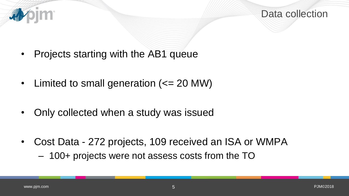

Data collection

- Projects starting with the AB1 queue
- Limited to small generation ( $\leq$  20 MW)
- Only collected when a study was issued
- Cost Data 272 projects, 109 received an ISA or WMPA
	- 100+ projects were not assess costs from the TO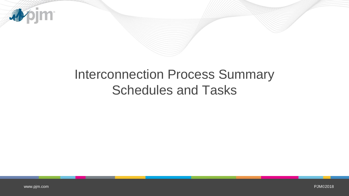

# Interconnection Process Summary Schedules and Tasks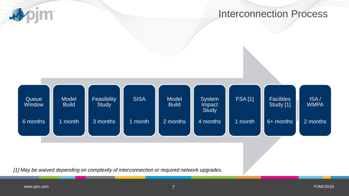#### Interconnection Process



*[1] May be waived depending on complexity of interconnection or required network upgrades.*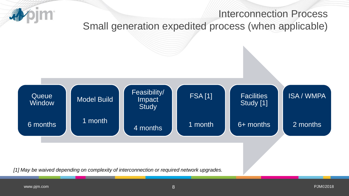

*[1] May be waived depending on complexity of interconnection or required network upgrades.*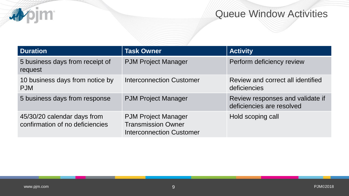

### Queue Window Activities

| <b>Duration</b>                                                | <b>Task Owner</b>                                                                          | <b>Activity</b>                                               |
|----------------------------------------------------------------|--------------------------------------------------------------------------------------------|---------------------------------------------------------------|
| 5 business days from receipt of<br>request                     | <b>PJM Project Manager</b>                                                                 | Perform deficiency review                                     |
| 10 business days from notice by<br><b>PJM</b>                  | <b>Interconnection Customer</b>                                                            | Review and correct all identified<br>deficiencies             |
| 5 business days from response                                  | <b>PJM Project Manager</b>                                                                 | Review responses and validate if<br>deficiencies are resolved |
| 45/30/20 calendar days from<br>confirmation of no deficiencies | <b>PJM Project Manager</b><br><b>Transmission Owner</b><br><b>Interconnection Customer</b> | Hold scoping call                                             |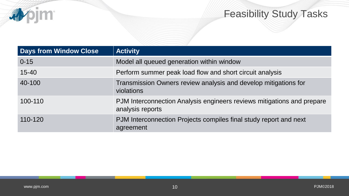# Feasibility Study Tasks

| <b>Days from Window Close</b> | <b>Activity</b>                                                                            |
|-------------------------------|--------------------------------------------------------------------------------------------|
| $0 - 15$                      | Model all queued generation within window                                                  |
| $15 - 40$                     | Perform summer peak load flow and short circuit analysis                                   |
| 40-100                        | Transmission Owners review analysis and develop mitigations for<br>violations              |
| 100-110                       | PJM Interconnection Analysis engineers reviews mitigations and prepare<br>analysis reports |
| 110-120                       | PJM Interconnection Projects compiles final study report and next<br>agreement             |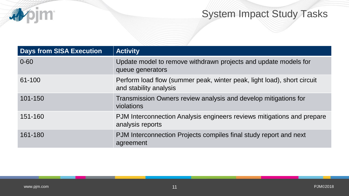

## System Impact Study Tasks

| <b>Days from SISA Execution</b> | <b>Activity</b>                                                                                   |
|---------------------------------|---------------------------------------------------------------------------------------------------|
| $0 - 60$                        | Update model to remove withdrawn projects and update models for<br>queue generators               |
| 61-100                          | Perform load flow (summer peak, winter peak, light load), short circuit<br>and stability analysis |
| 101-150                         | Transmission Owners review analysis and develop mitigations for<br>violations                     |
| 151-160                         | PJM Interconnection Analysis engineers reviews mitigations and prepare<br>analysis reports        |
| 161-180                         | PJM Interconnection Projects compiles final study report and next<br>agreement                    |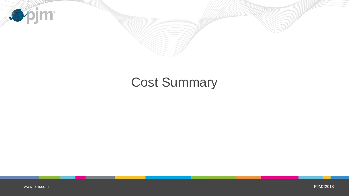

# Cost Summary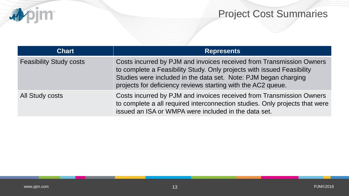

# Project Cost Summaries

| <b>Chart</b>                   | <b>Represents</b>                                                                                                                                                                                                                                                                 |
|--------------------------------|-----------------------------------------------------------------------------------------------------------------------------------------------------------------------------------------------------------------------------------------------------------------------------------|
| <b>Feasibility Study costs</b> | Costs incurred by PJM and invoices received from Transmission Owners<br>to complete a Feasibility Study. Only projects with issued Feasibility<br>Studies were included in the data set. Note: PJM began charging<br>projects for deficiency reviews starting with the AC2 queue. |
| <b>All Study costs</b>         | Costs incurred by PJM and invoices received from Transmission Owners<br>to complete a all required interconnection studies. Only projects that were<br>issued an ISA or WMPA were included in the data set.                                                                       |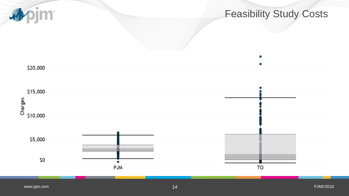

[www.pjm.com](http://www.pjm.com/)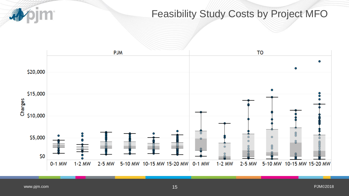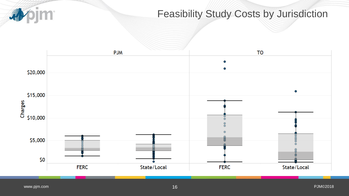

## Feasibility Study Costs by Jurisdiction

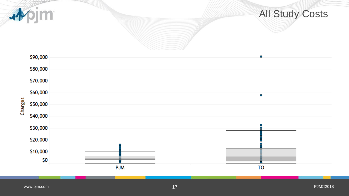

All Study Costs

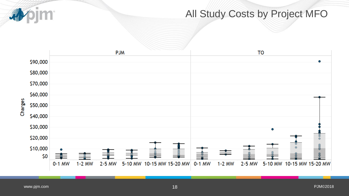## All Study Costs by Project MFO

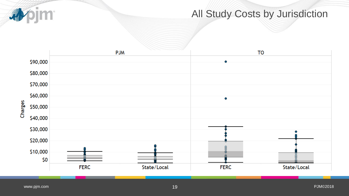

## All Study Costs by Jurisdiction

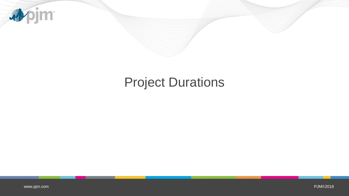

# Project Durations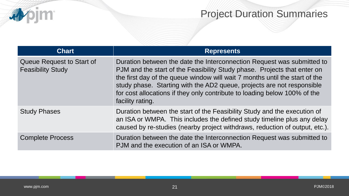

# Project Duration Summaries

| <b>Chart</b>                                          | <b>Represents</b>                                                                                                                                                                                                                                                                                                                                                                                            |
|-------------------------------------------------------|--------------------------------------------------------------------------------------------------------------------------------------------------------------------------------------------------------------------------------------------------------------------------------------------------------------------------------------------------------------------------------------------------------------|
| Queue Request to Start of<br><b>Feasibility Study</b> | Duration between the date the Interconnection Request was submitted to<br>PJM and the start of the Feasibility Study phase. Projects that enter on<br>the first day of the queue window will wait 7 months until the start of the<br>study phase. Starting with the AD2 queue, projects are not responsible<br>for cost allocations if they only contribute to loading below 100% of the<br>facility rating. |
| <b>Study Phases</b>                                   | Duration between the start of the Feasibility Study and the execution of<br>an ISA or WMPA. This includes the defined study timeline plus any delay<br>caused by re-studies (nearby project withdraws, reduction of output, etc.).                                                                                                                                                                           |
| <b>Complete Process</b>                               | Duration between the date the Interconnection Request was submitted to<br>PJM and the execution of an ISA or WMPA.                                                                                                                                                                                                                                                                                           |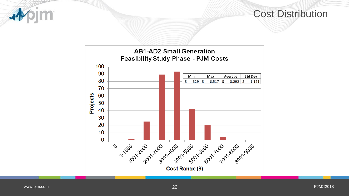

### Cost Distribution

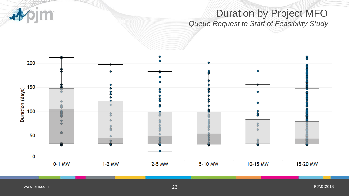4

#### Duration by Project MFO *Queue Request to Start of Feasibility Study*

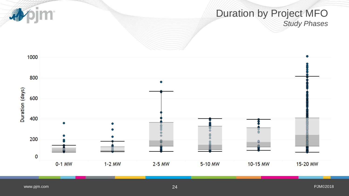pjm<sup>.</sup> **A** 

#### Duration by Project MFO *Study Phases*

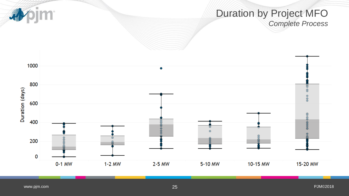pjm<sup>.</sup> **A** 

#### Duration by Project MFO *Complete Process*

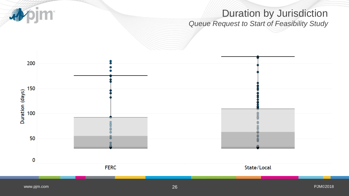

#### Duration by Jurisdiction *Queue Request to Start of Feasibility Study*

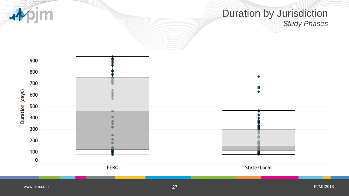pjm 尋

#### Duration by Jurisdiction *Study Phases*

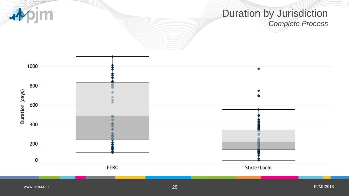**pjm** 司

#### Duration by Jurisdiction *Complete Process*

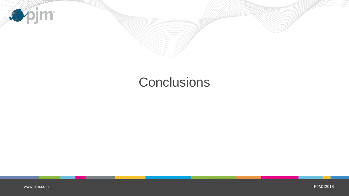

# **Conclusions**